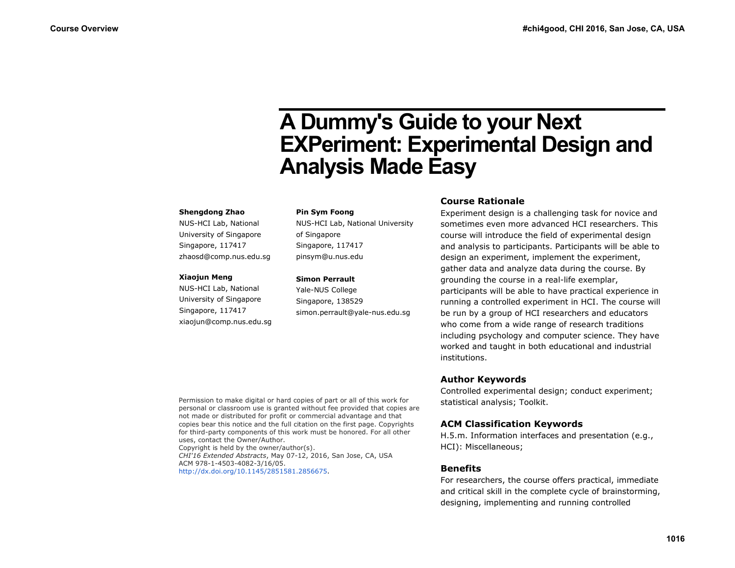# **A Dummy's Guide to your Next EXPeriment: Experimental Design and Analysis Made Easy**

#### **Shengdong Zhao**

NUS-HCI Lab, National University of Singapore Singapore, 117417 zhaosd@comp.nus.edu.sg

#### **Xiaojun Meng**

NUS-HCI Lab, National University of Singapore Singapore, 117417 xiaojun@comp.nus.edu.sg

#### **Pin Sym Foong**

NUS-HCI Lab, National University of Singapore Singapore, 117417 pinsym@u.nus.edu

#### **Simon Perrault**

Yale-NUS College Singapore, 138529 simon.perrault@yale-nus.edu.sg

## **Course Rationale**

Experiment design is a challenging task for novice and sometimes even more advanced HCI researchers. This course will introduce the field of experimental design and analysis to participants. Participants will be able to design an experiment, implement the experiment, gather data and analyze data during the course. By grounding the course in a real-life exemplar, participants will be able to have practical experience in running a controlled experiment in HCI. The course will be run by a group of HCI researchers and educators who come from a wide range of research traditions including psychology and computer science. They have worked and taught in both educational and industrial institutions.

# **Author Keywords**

Controlled experimental design; conduct experiment; statistical analysis; Toolkit.

# **ACM Classification Keywords**

H.5.m. Information interfaces and presentation (e.g., HCI): Miscellaneous;

# **Benefits**

For researchers, the course offers practical, immediate and critical skill in the complete cycle of brainstorming, designing, implementing and running controlled

Permission to make digital or hard copies of part or all of this work for personal or classroom use is granted without fee provided that copies are not made or distributed for profit or commercial advantage and that copies bear this notice and the full citation on the first page. Copyrights for third-party components of this work must be honored. For all other uses, contact the Owner/Author. Copyright is held by the owner/author(s). *CHI'16 Extended Abstracts*, May 07-12, 2016, San Jose, CA, USA ACM 978-1-4503-4082-3/16/05.

[http://dx.doi.org/10.1145/2851581.2856675.](http://dx.doi.org/10.1145/2851581.2856675)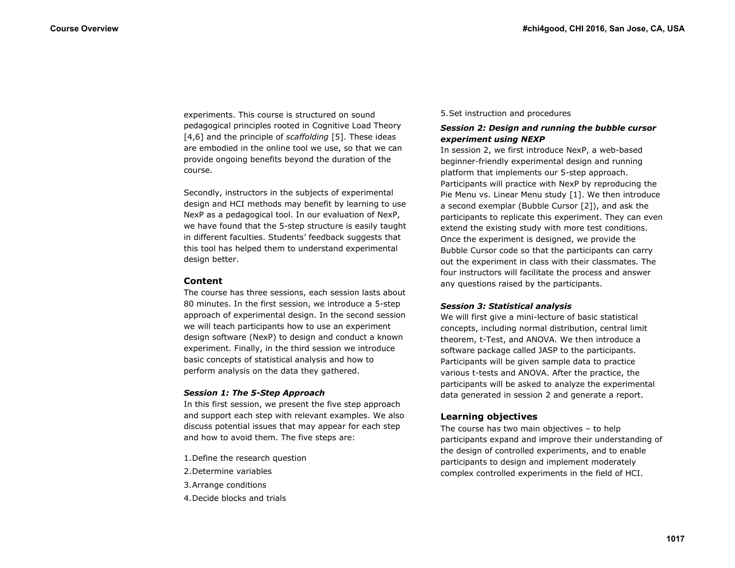experiments. This course is structured on sound pedagogical principles rooted in Cognitive Load Theory [4,6] and the principle of *scaffolding* [5]. These ideas are embodied in the online tool we use, so that we can provide ongoing benefits beyond the duration of the course.

Secondly, instructors in the subjects of experimental design and HCI methods may benefit by learning to use NexP as a pedagogical tool. In our evaluation of NexP, we have found that the 5-step structure is easily taught in different faculties. Students' feedback suggests that this tool has helped them to understand experimental design better.

## **Content**

The course has three sessions, each session lasts about 80 minutes. In the first session, we introduce a 5-step approach of experimental design. In the second session we will teach participants how to use an experiment design software (NexP) to design and conduct a known experiment. Finally, in the third session we introduce basic concepts of statistical analysis and how to perform analysis on the data they gathered.

## *Session 1: The 5-Step Approach*

In this first session, we present the five step approach and support each step with relevant examples. We also discuss potential issues that may appear for each step and how to avoid them. The five steps are:

- 1.Define the research question
- 2.Determine variables
- 3.Arrange conditions
- 4.Decide blocks and trials

## 5.Set instruction and procedures

## *Session 2: Design and running the bubble cursor experiment using NEXP*

In session 2, we first introduce NexP, a web-based beginner-friendly experimental design and running platform that implements our 5-step approach. Participants will practice with NexP by reproducing the Pie Menu vs. Linear Menu study [1]. We then introduce a second exemplar (Bubble Cursor [2]), and ask the participants to replicate this experiment. They can even extend the existing study with more test conditions. Once the experiment is designed, we provide the Bubble Cursor code so that the participants can carry out the experiment in class with their classmates. The four instructors will facilitate the process and answer any questions raised by the participants.

## *Session 3: Statistical analysis*

We will first give a mini-lecture of basic statistical concepts, including normal distribution, central limit theorem, t-Test, and ANOVA. We then introduce a software package called JASP to the participants. Participants will be given sample data to practice various t-tests and ANOVA. After the practice, the participants will be asked to analyze the experimental data generated in session 2 and generate a report.

# **Learning objectives**

The course has two main objectives – to help participants expand and improve their understanding of the design of controlled experiments, and to enable participants to design and implement moderately complex controlled experiments in the field of HCI.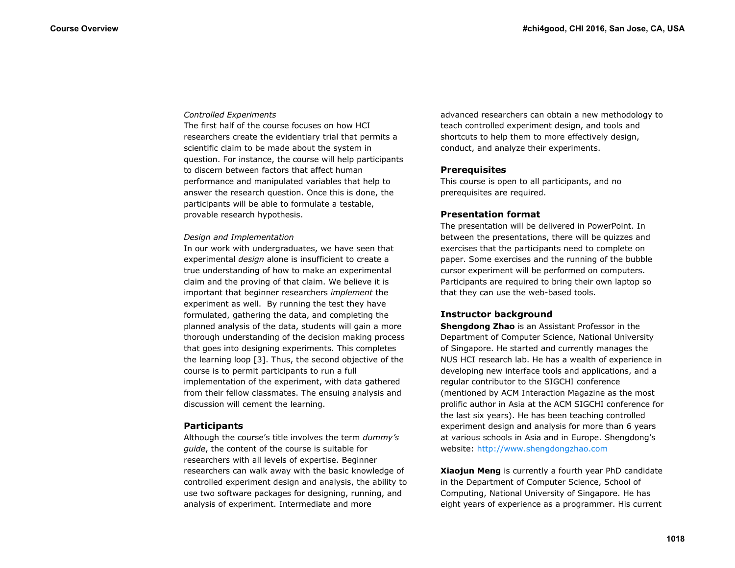#### *Controlled Experiments*

The first half of the course focuses on how HCI researchers create the evidentiary trial that permits a scientific claim to be made about the system in question. For instance, the course will help participants to discern between factors that affect human performance and manipulated variables that help to answer the research question. Once this is done, the participants will be able to formulate a testable, provable research hypothesis.

#### *Design and Implementation*

In our work with undergraduates, we have seen that experimental *design* alone is insufficient to create a true understanding of how to make an experimental claim and the proving of that claim. We believe it is important that beginner researchers *implement* the experiment as well. By running the test they have formulated, gathering the data, and completing the planned analysis of the data, students will gain a more thorough understanding of the decision making process that goes into designing experiments. This completes the learning loop [3]. Thus, the second objective of the course is to permit participants to run a full implementation of the experiment, with data gathered from their fellow classmates. The ensuing analysis and discussion will cement the learning.

#### **Participants**

Although the course's title involves the term *dummy's guide*, the content of the course is suitable for researchers with all levels of expertise. Beginner researchers can walk away with the basic knowledge of controlled experiment design and analysis, the ability to use two software packages for designing, running, and analysis of experiment. Intermediate and more

advanced researchers can obtain a new methodology to teach controlled experiment design, and tools and shortcuts to help them to more effectively design, conduct, and analyze their experiments.

## **Prerequisites**

This course is open to all participants, and no prerequisites are required.

## **Presentation format**

The presentation will be delivered in PowerPoint. In between the presentations, there will be quizzes and exercises that the participants need to complete on paper. Some exercises and the running of the bubble cursor experiment will be performed on computers. Participants are required to bring their own laptop so that they can use the web-based tools.

## **Instructor background**

**Shengdong Zhao** is an Assistant Professor in the Department of Computer Science, National University of Singapore. He started and currently manages the NUS HCI research lab. He has a wealth of experience in developing new interface tools and applications, and a regular contributor to the SIGCHI conference (mentioned by ACM Interaction Magazine as the most prolific author in Asia at the ACM SIGCHI conference for the last six years). He has been teaching controlled experiment design and analysis for more than 6 years at various schools in Asia and in Europe. Shengdong's website: [http://www.shengdongzhao.com](http://www.shengdongzhao.com/)

**Xiaojun Meng** is currently a fourth year PhD candidate in the Department of Computer Science, School of Computing, National University of Singapore. He has eight years of experience as a programmer. His current